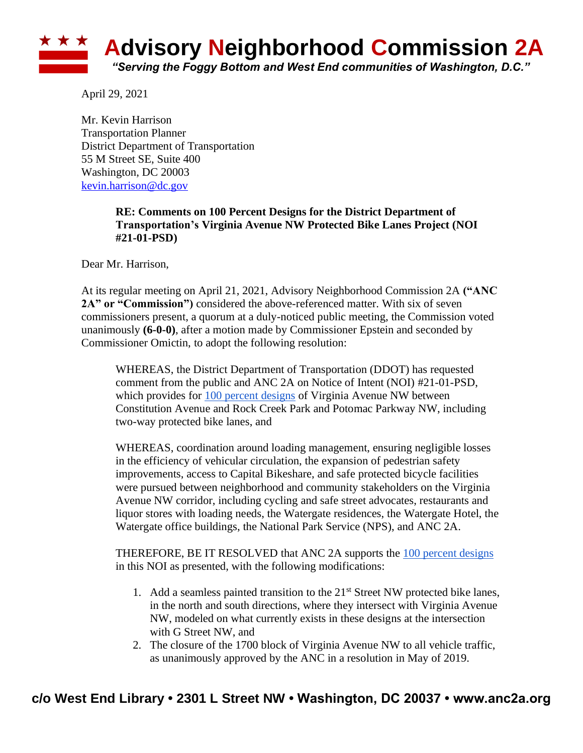

April 29, 2021

Mr. Kevin Harrison Transportation Planner District Department of Transportation 55 M Street SE, Suite 400 Washington, DC 20003 [kevin.harrison@dc.gov](mailto:kevin.harrison@dc.gov)

## **RE: Comments on 100 Percent Designs for the District Department of Transportation's Virginia Avenue NW Protected Bike Lanes Project (NOI #21-01-PSD)**

Dear Mr. Harrison,

At its regular meeting on April 21, 2021, Advisory Neighborhood Commission 2A **("ANC**  2A" or "Commission") considered the above-referenced matter. With six of seven commissioners present, a quorum at a duly-noticed public meeting, the Commission voted unanimously **(6-0-0)**, after a motion made by Commissioner Epstein and seconded by Commissioner Omictin, to adopt the following resolution:

WHEREAS, the District Department of Transportation (DDOT) has requested comment from the public and ANC 2A on Notice of Intent (NOI) #21-01-PSD, which provides for [100 percent designs](https://wiki.ddot.dc.gov/download/attachments/111150688/Virginia-Ave-PBL_100-Percent_21-03-30.pdf?api=v2) of Virginia Avenue NW between Constitution Avenue and Rock Creek Park and Potomac Parkway NW, including two-way protected bike lanes, and

WHEREAS, coordination around loading management, ensuring negligible losses in the efficiency of vehicular circulation, the expansion of pedestrian safety improvements, access to Capital Bikeshare, and safe protected bicycle facilities were pursued between neighborhood and community stakeholders on the Virginia Avenue NW corridor, including cycling and safe street advocates, restaurants and liquor stores with loading needs, the Watergate residences, the Watergate Hotel, the Watergate office buildings, the National Park Service (NPS), and ANC 2A.

THEREFORE, BE IT RESOLVED that ANC 2A supports the [100 percent designs](https://wiki.ddot.dc.gov/download/attachments/111150688/Virginia-Ave-PBL_100-Percent_21-03-30.pdf?api=v2) in this NOI as presented, with the following modifications:

- 1. Add a seamless painted transition to the  $21<sup>st</sup>$  Street NW protected bike lanes, in the north and south directions, where they intersect with Virginia Avenue NW, modeled on what currently exists in these designs at the intersection with G Street NW, and
- 2. The closure of the 1700 block of Virginia Avenue NW to all vehicle traffic, as unanimously approved by the ANC in a resolution in May of 2019.